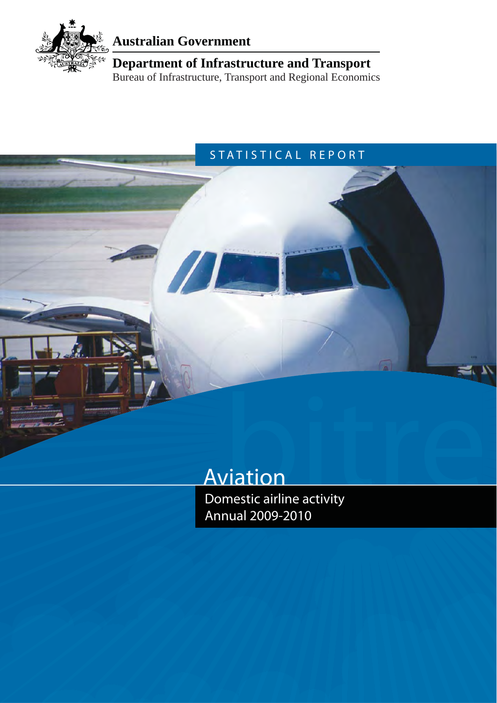

**Australian Government**

**Department of Infrastructure and Transport** Bureau of Infrastructure, Transport and Regional Economics

# STATISTICAL REPORT

# **Aviation**

**Domestic airline activity Annual 2009-2010**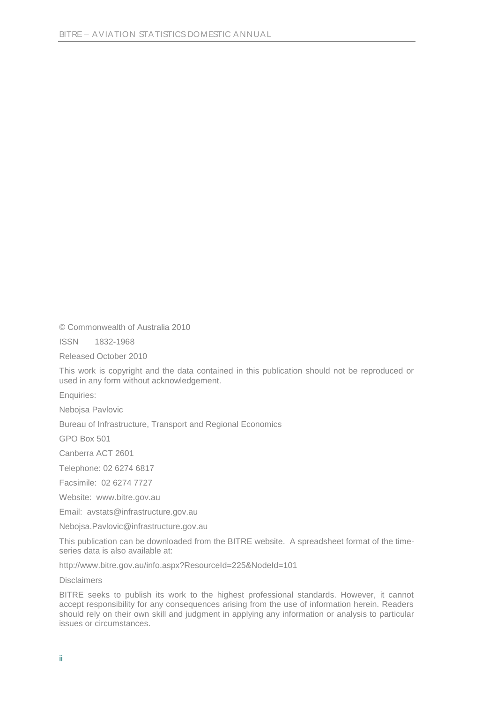© Commonwealth of Australia 2010

ISSN 1832-1968

Released October 2010

This work is copyright and the data contained in this publication should not be reproduced or used in any form without acknowledgement.

Enquiries:

Nebojsa Pavlovic

Bureau of Infrastructure, Transport and Regional Economics

GPO Box 501

Canberra ACT 2601

Telephone: 02 6274 6817

Facsimile: 02 6274 7727

Website: [www.bitre.gov.au](http://www.bitre.gov.au/) 

Email: [avstats@infrastructure.gov.au](mailto:avstats@infrastructure.gov.au) 

[Nebojsa.Pavlovic@infrastructure.gov.au](mailto:Nebojsa.Pavlovic@infrastructure.gov.au) 

This publication can be downloaded from the BITRE website. A spreadsheet format of the timeseries data is also available at:

<http://www.bitre.gov.au/info.aspx?ResourceId=225&NodeId=101>

Disclaimers

BITRE seeks to publish its work to the highest professional standards. However, it cannot accept responsibility for any consequences arising from the use of information herein. Readers should rely on their own skill and judgment in applying any information or analysis to particular issues or circumstances.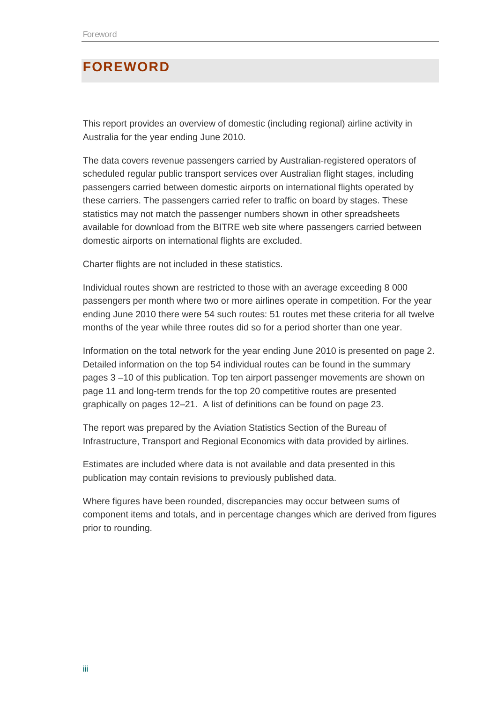# **FOREWORD**

This report provides an overview of domestic (including regional) airline activity in Australia for the year ending June 2010.

The data covers revenue passengers carried by Australian-registered operators of scheduled regular public transport services over Australian flight stages, including passengers carried between domestic airports on international flights operated by these carriers. The passengers carried refer to traffic on board by stages. These statistics may not match the passenger numbers shown in other spreadsheets available for download from the BITRE web site where passengers carried between domestic airports on international flights are excluded.

Charter flights are not included in these statistics.

Individual routes shown are restricted to those with an average exceeding 8 000 passengers per month where two or more airlines operate in competition. For the year ending June 2010 there were 54 such routes: 51 routes met these criteria for all twelve months of the year while three routes did so for a period shorter than one year.

Information on the total network for the year ending June 2010 is presented on page 2. Detailed information on the top 54 individual routes can be found in the summary pages 3 –10 of this publication. Top ten airport passenger movements are shown on page 11 and long-term trends for the top 20 competitive routes are presented graphically on pages 12–21. A list of definitions can be found on page 23.

The report was prepared by the Aviation Statistics Section of the Bureau of Infrastructure, Transport and Regional Economics with data provided by airlines.

Estimates are included where data is not available and data presented in this publication may contain revisions to previously published data.

Where figures have been rounded, discrepancies may occur between sums of component items and totals, and in percentage changes which are derived from figures prior to rounding.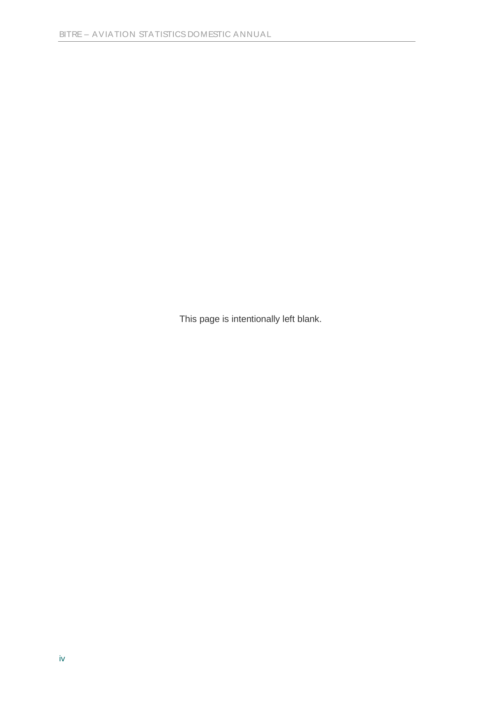This page is intentionally left blank.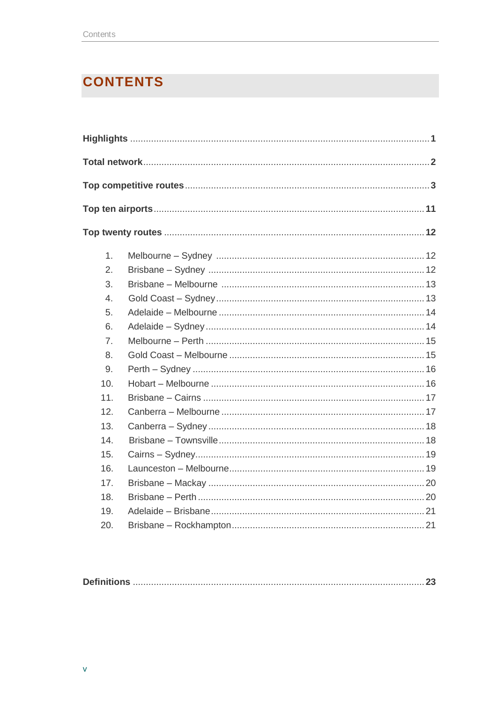# **CONTENTS**

| 1.             |  |
|----------------|--|
| 2.             |  |
| 3.             |  |
| 4.             |  |
| 5.             |  |
| 6.             |  |
| 7 <sub>1</sub> |  |
| 8.             |  |
| 9.             |  |
| 10.            |  |
| 11.            |  |
| 12.            |  |
| 13.            |  |
| 14.            |  |
| 15.            |  |
| 16.            |  |
| 17.            |  |
| 18.            |  |
| 19.            |  |
| 20.            |  |

|--|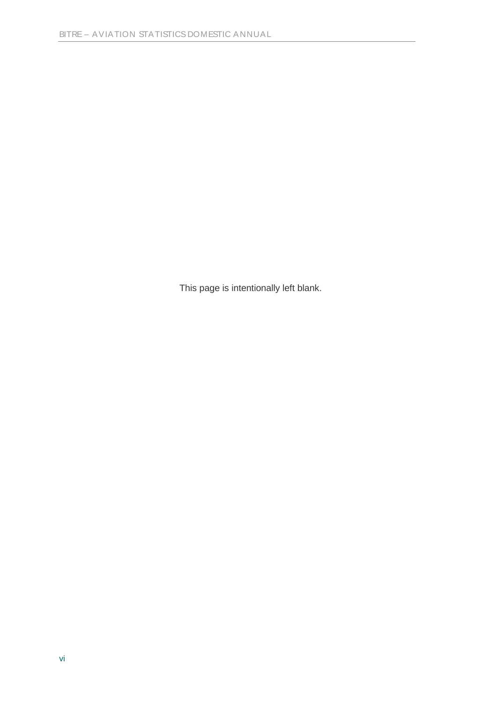This page is intentionally left blank.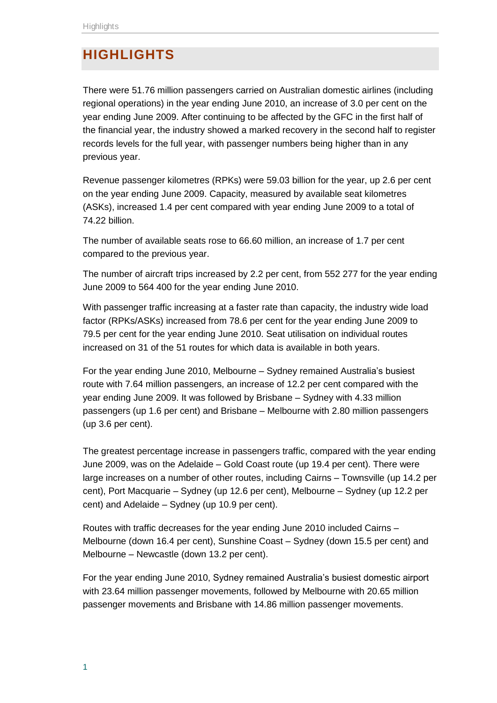# **HIGHLIGHTS**

There were 51.76 million passengers carried on Australian domestic airlines (including regional operations) in the year ending June 2010, an increase of 3.0 per cent on the year ending June 2009. After continuing to be affected by the GFC in the first half of the financial year, the industry showed a marked recovery in the second half to register records levels for the full year, with passenger numbers being higher than in any previous year.

Revenue passenger kilometres (RPKs) were 59.03 billion for the year, up 2.6 per cent on the year ending June 2009. Capacity, measured by available seat kilometres (ASKs), increased 1.4 per cent compared with year ending June 2009 to a total of 74.22 billion.

The number of available seats rose to 66.60 million, an increase of 1.7 per cent compared to the previous year.

The number of aircraft trips increased by 2.2 per cent, from 552 277 for the year ending June 2009 to 564 400 for the year ending June 2010.

With passenger traffic increasing at a faster rate than capacity, the industry wide load factor (RPKs/ASKs) increased from 78.6 per cent for the year ending June 2009 to 79.5 per cent for the year ending June 2010. Seat utilisation on individual routes increased on 31 of the 51 routes for which data is available in both years.

For the year ending June 2010, Melbourne – Sydney remained Australia's busiest route with 7.64 million passengers, an increase of 12.2 per cent compared with the year ending June 2009. It was followed by Brisbane – Sydney with 4.33 million passengers (up 1.6 per cent) and Brisbane – Melbourne with 2.80 million passengers (up 3.6 per cent).

The greatest percentage increase in passengers traffic, compared with the year ending June 2009, was on the Adelaide – Gold Coast route (up 19.4 per cent). There were large increases on a number of other routes, including Cairns – Townsville (up 14.2 per cent), Port Macquarie – Sydney (up 12.6 per cent), Melbourne – Sydney (up 12.2 per cent) and Adelaide – Sydney (up 10.9 per cent).

Routes with traffic decreases for the year ending June 2010 included Cairns – Melbourne (down 16.4 per cent), Sunshine Coast – Sydney (down 15.5 per cent) and Melbourne – Newcastle (down 13.2 per cent).

For the year ending June 2010, Sydney remained Australia's busiest domestic airport with 23.64 million passenger movements, followed by Melbourne with 20.65 million passenger movements and Brisbane with 14.86 million passenger movements.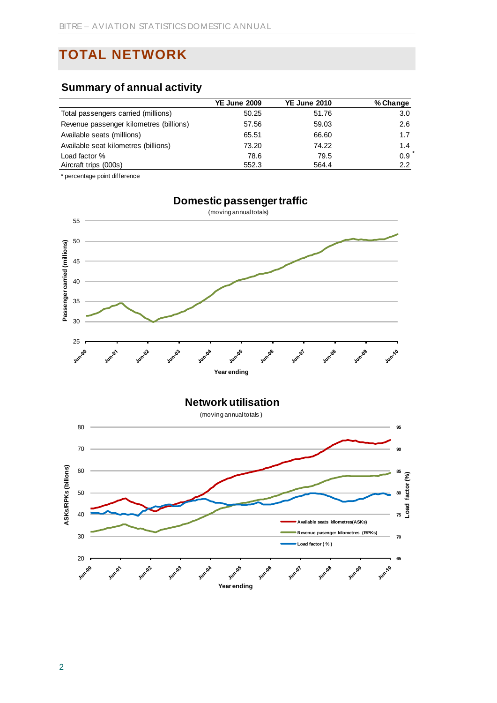# **TOTAL NETWORK**

# **Summary of annual activity**

|                                         | <b>YE June 2009</b> | <b>YE June 2010</b> | % Change |
|-----------------------------------------|---------------------|---------------------|----------|
| Total passengers carried (millions)     | 50.25               | 51.76               | 3.0      |
| Revenue passenger kilometres (billions) | 57.56               | 59.03               | 2.6      |
| Available seats (millions)              | 65.51               | 66.60               | 1.7      |
| Available seat kilometres (billions)    | 73.20               | 74.22               | 1.4      |
| Load factor %                           | 78.6                | 79.5                | 0.9      |
| Aircraft trips (000s)                   | 552.3               | 564.4               | 2.2      |

\* percentage point difference



# **Domestic passenger traffic**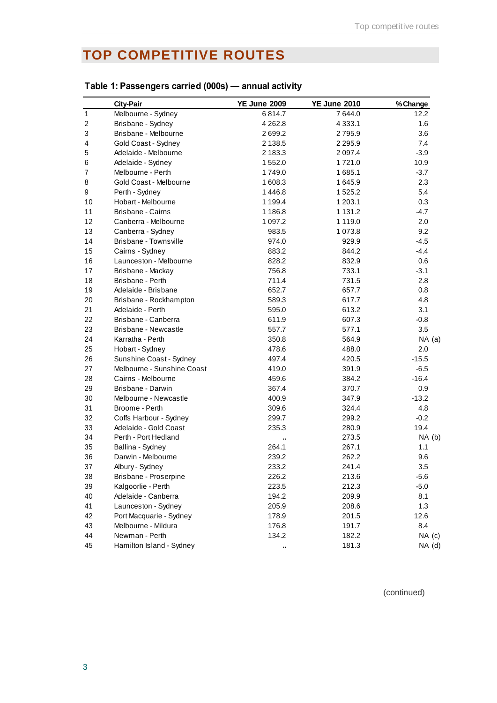# **TOP COMPETITIVE ROUTES**

|                  | <b>City-Pair</b>           | <b>YE June 2009</b> | <b>YE June 2010</b> | % Change |
|------------------|----------------------------|---------------------|---------------------|----------|
| $\mathbf{1}$     | Melbourne - Sydney         | 6814.7              | 7644.0              | 12.2     |
| $\boldsymbol{2}$ | Brisbane - Sydney          | 4 2 6 2.8           | 4 3 3 3.1           | 1.6      |
| 3                | Brisbane - Melbourne       | 2699.2              | 2795.9              | 3.6      |
| 4                | Gold Coast - Sydney        | 2 1 3 8 .5          | 2 2 9 5 .9          | 7.4      |
| 5                | Adelaide - Melbourne       | 2 183.3             | 2 0 9 7.4           | $-3.9$   |
| 6                | Adelaide - Sydney          | 1552.0              | 1721.0              | 10.9     |
| $\overline{7}$   | Melbourne - Perth          | 1749.0              | 1685.1              | $-3.7$   |
| 8                | Gold Coast - Melbourne     | 1608.3              | 1645.9              | 2.3      |
| 9                | Perth - Sydney             | 1446.8              | 1525.2              | 5.4      |
| 10               | Hobart - Melbourne         | 1 199.4             | 1 203.1             | 0.3      |
| 11               | Brisbane - Cairns          | 1 186.8             | 1 1 3 1 . 2         | $-4.7$   |
| 12               | Canberra - Melbourne       | 1 0 9 7 .2          | 1 1 1 9 . 0         | 2.0      |
| 13               | Canberra - Sydney          | 983.5               | 1 0 7 3.8           | 9.2      |
| 14               | Brisbane - Townsville      | 974.0               | 929.9               | $-4.5$   |
| 15               | Cairns - Sydney            | 883.2               | 844.2               | $-4.4$   |
| 16               | Launceston - Melbourne     | 828.2               | 832.9               | 0.6      |
| 17               | Brisbane - Mackay          | 756.8               | 733.1               | $-3.1$   |
| 18               | Brisbane - Perth           | 711.4               | 731.5               | 2.8      |
| 19               | Adelaide - Brisbane        | 652.7               | 657.7               | 0.8      |
| 20               | Brisbane - Rockhampton     | 589.3               | 617.7               | 4.8      |
| 21               | Adelaide - Perth           | 595.0               | 613.2               | 3.1      |
| 22               | Brisbane - Canberra        | 611.9               | 607.3               | $-0.8$   |
| 23               | Brisbane - Newcastle       | 557.7               | 577.1               | 3.5      |
| 24               | Karratha - Perth           | 350.8               | 564.9               | $NA$ (a) |
| 25               | Hobart - Sydney            | 478.6               | 488.0               | 2.0      |
| 26               | Sunshine Coast - Sydney    | 497.4               | 420.5               | $-15.5$  |
| 27               | Melbourne - Sunshine Coast | 419.0               | 391.9               | $-6.5$   |
| 28               | Cairns - Melbourne         | 459.6               | 384.2               | $-16.4$  |
| 29               | Brisbane - Darwin          | 367.4               | 370.7               | 0.9      |
| 30               | Melbourne - Newcastle      | 400.9               | 347.9               | $-13.2$  |
| 31               | Broome - Perth             | 309.6               | 324.4               | 4.8      |
| 32               | Coffs Harbour - Sydney     | 299.7               | 299.2               | $-0.2$   |
| 33               | Adelaide - Gold Coast      | 235.3               | 280.9               | 19.4     |
| 34               | Perth - Port Hedland       |                     | 273.5               | NA(b)    |
| 35               | Ballina - Sydney           | 264.1               | 267.1               | 1.1      |
| 36               | Darwin - Melbourne         | 239.2               | 262.2               | 9.6      |
| 37               | Albury - Sydney            | 233.2               | 241.4               | 3.5      |
| 38               | Brisbane - Proserpine      | 226.2               | 213.6               | $-5.6$   |
| 39               | Kalgoorlie - Perth         | 223.5               | 212.3               | $-5.0$   |
| 40               | Adelaide - Canberra        | 194.2               | 209.9               | 8.1      |
| 41               | Launceston - Sydney        | 205.9               | 208.6               | 1.3      |
| 42               | Port Macquarie - Sydney    | 178.9               | 201.5               | 12.6     |
| 43               | Melbourne - Mildura        | 176.8               | 191.7               | 8.4      |
| 44               | Newman - Perth             | 134.2               | 182.2               | $NA$ (c) |
| 45               | Hamilton Island - Sydney   | .,                  | 181.3               | $NA$ (d) |
|                  |                            |                     |                     |          |

### **Table 1: Passengers carried (000s) — annual activity**

(continued)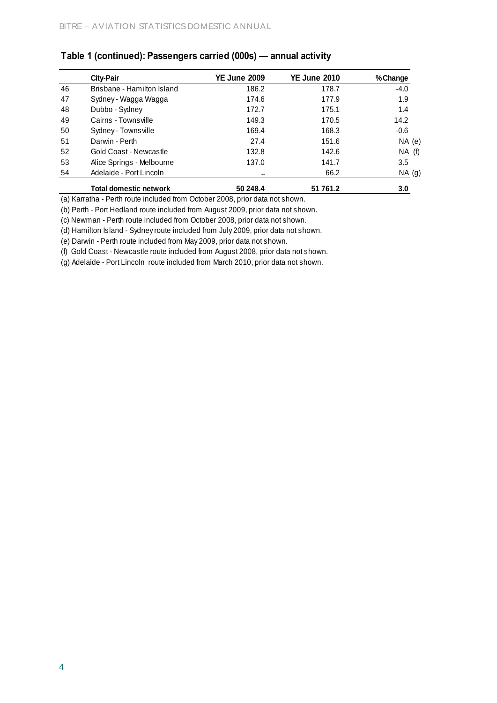|    | <b>City-Pair</b>              | <b>YE June 2009</b> | <b>YE June 2010</b> | % Change |
|----|-------------------------------|---------------------|---------------------|----------|
| 46 | Brisbane - Hamilton Island    | 186.2               | 178.7               | -4.0     |
| 47 | Sydney - Wagga Wagga          | 174.6               | 177.9               | 1.9      |
| 48 | Dubbo - Sydney                | 172.7               | 175.1               | 1.4      |
| 49 | Cairns - Townsville           | 149.3               | 170.5               | 14.2     |
| 50 | Sydney - Townsville           | 169.4               | 168.3               | $-0.6$   |
| 51 | Darwin - Perth                | 27.4                | 151.6               | NA(e)    |
| 52 | Gold Coast - Newcastle        | 132.8               | 142.6               | $NA$ (f) |
| 53 | Alice Springs - Melbourne     | 137.0               | 141.7               | 3.5      |
| 54 | Adelaide - Port Lincoln       |                     | 66.2                | $NA$ (g) |
|    | <b>Total domestic network</b> | 50 248.4            | 51 761.2            | 3.0      |

(a) Karratha - Perth route included from October 2008, prior data not shown.

(b) Perth - Port Hedland route included from August 2009, prior data not shown.

(c) Newman - Perth route included from October 2008, prior data not shown.

(d) Hamilton Island - Sydney route included from July 2009, prior data not shown.

(e) Darwin - Perth route included from May 2009, prior data not shown.

(f) Gold Coast - Newcastle route included from August 2008, prior data not shown.

(g) Adelaide - Port Lincoln route included from March 2010, prior data not shown.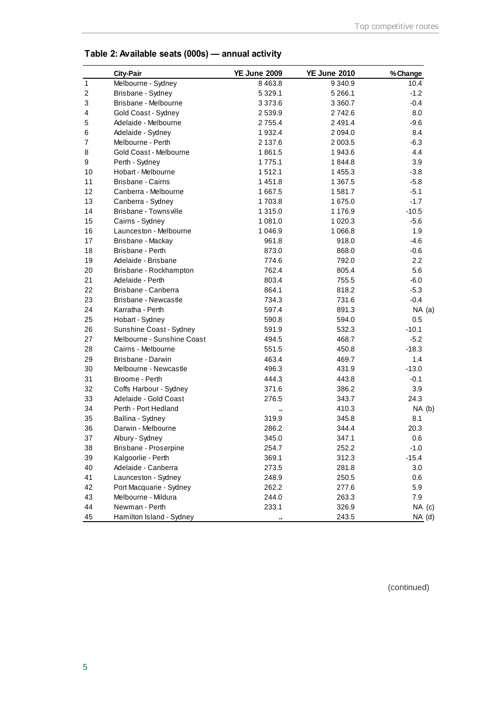|              | <b>City-Pair</b>           | <b>YE June 2009</b> | <b>YE June 2010</b> | % Change |
|--------------|----------------------------|---------------------|---------------------|----------|
| $\mathbf{1}$ | Melbourne - Sydney         | 8 4 6 3.8           | 9 3 4 0.9           | 10.4     |
| 2            | Brisbane - Sydney          | 5 3 2 9.1           | 5 2 66.1            | $-1.2$   |
| 3            | Brisbane - Melbourne       | 3 3 7 3 . 6         | 3 3 6 0.7           | $-0.4$   |
| 4            | Gold Coast - Sydney        | 2539.9              | 2742.6              | 8.0      |
| 5            | Adelaide - Melbourne       | 2755.4              | 2 4 9 1 .4          | $-9.6$   |
| 6            | Adelaide - Sydney          | 1932.4              | 2 0 9 4 .0          | 8.4      |
| 7            | Melbourne - Perth          | 2 137.6             | 2 0 0 3.5           | $-6.3$   |
| 8            | Gold Coast - Melbourne     | 1861.5              | 1943.6              | 4.4      |
| 9            | Perth - Sydney             | 1775.1              | 1844.8              | 3.9      |
| 10           | Hobart - Melbourne         | 1512.1              | 1455.3              | $-3.8$   |
| 11           | Brisbane - Cairns          | 1451.8              | 1 3 6 7 .5          | $-5.8$   |
| 12           | Canberra - Melbourne       | 1667.5              | 1581.7              | $-5.1$   |
| 13           | Canberra - Sydney          | 1703.8              | 1675.0              | $-1.7$   |
| 14           | Brisbane - Townsville      | 1 3 1 5 .0          | 1 176.9             | $-10.5$  |
| 15           | Cairns - Sydney            | 1 0 8 1 .0          | 1 0 2 0 . 3         | $-5.6$   |
| 16           | Launceston - Melbourne     | 1 0 4 6 .9          | 1 0 66.8            | 1.9      |
| 17           | Brisbane - Mackay          | 961.8               | 918.0               | $-4.6$   |
| 18           | Brisbane - Perth           | 873.0               | 868.0               | $-0.6$   |
| 19           | Adelaide - Brisbane        | 774.6               | 792.0               | 2.2      |
| 20           | Brisbane - Rockhampton     | 762.4               | 805.4               | 5.6      |
| 21           | Adelaide - Perth           | 803.4               | 755.5               | $-6.0$   |
| 22           | Brisbane - Canberra        | 864.1               | 818.2               | $-5.3$   |
| 23           | Brisbane - Newcastle       | 734.3               | 731.6               | $-0.4$   |
| 24           | Karratha - Perth           | 597.4               | 891.3               | $NA$ (a) |
| 25           | Hobart - Sydney            | 590.8               | 594.0               | 0.5      |
| 26           | Sunshine Coast - Sydney    | 591.9               | 532.3               | $-10.1$  |
| 27           | Melbourne - Sunshine Coast | 494.5               | 468.7               | $-5.2$   |
| 28           | Cairns - Melbourne         | 551.5               | 450.8               | $-18.3$  |
| 29           | Brisbane - Darwin          | 463.4               | 469.7               | 1.4      |
| 30           | Melbourne - Newcastle      | 496.3               | 431.9               | $-13.0$  |
| 31           | Broome - Perth             | 444.3               | 443.8               | $-0.1$   |
| 32           | Coffs Harbour - Sydney     | 371.6               | 386.2               | 3.9      |
| 33           | Adelaide - Gold Coast      | 276.5               | 343.7               | 24.3     |
| 34           | Perth - Port Hedland       |                     | 410.3               | NA(b)    |
| 35           | Ballina - Sydney           | 319.9               | 345.8               | 8.1      |
| 36           | Darwin - Melbourne         | 286.2               | 344.4               | 20.3     |
| 37           | Albury - Sydney            | 345.0               | 347.1               | 0.6      |
| 38           | Brisbane - Proserpine      | 254.7               | 252.2               | $-1.0$   |
| 39           | Kalgoorlie - Perth         | 369.1               | 312.3               | $-15.4$  |
| 40           | Adelaide - Canberra        | 273.5               | 281.8               | 3.0      |
| 41           | Launceston - Sydney        | 248.9               | 250.5               | 0.6      |
| 42           | Port Macquarie - Sydney    | 262.2               | 277.6               | 5.9      |
| 43           | Melbourne - Mildura        | 244.0               | 263.3               | 7.9      |
| 44           | Newman - Perth             | 233.1               | 326.9               | $NA$ (c) |
| 45           | Hamilton Island - Sydney   |                     | 243.5               | NA (d)   |

# **Table 2: Available seats (000s) — annual activity**

(continued)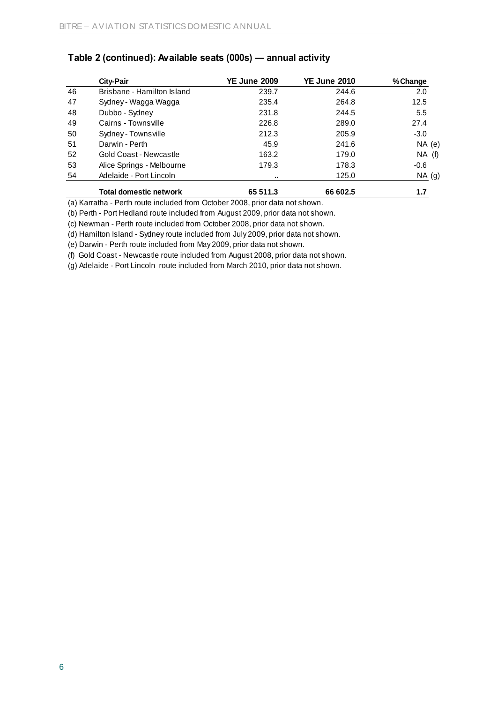|    | <b>City-Pair</b>              | <b>YE June 2009</b> | <b>YE June 2010</b> | % Change |
|----|-------------------------------|---------------------|---------------------|----------|
| 46 | Brisbane - Hamilton Island    | 239.7               | 244.6               | 2.0      |
| 47 | Sydney - Wagga Wagga          | 235.4               | 264.8               | 12.5     |
| 48 | Dubbo - Sydney                | 231.8               | 244.5               | 5.5      |
| 49 | Cairns - Townsville           | 226.8               | 289.0               | 27.4     |
| 50 | Sydney - Townsville           | 212.3               | 205.9               | $-3.0$   |
| 51 | Darwin - Perth                | 45.9                | 241.6               | NA(e)    |
| 52 | Gold Coast - Newcastle        | 163.2               | 179.0               | $NA$ (f) |
| 53 | Alice Springs - Melbourne     | 179.3               | 178.3               | -0.6     |
| 54 | Adelaide - Port Lincoln       |                     | 125.0               | $NA$ (g) |
|    | <b>Total domestic network</b> | 65 511.3            | 66 602.5            | 1.7      |

(a) Karratha - Perth route included from October 2008, prior data not shown.

(b) Perth - Port Hedland route included from August 2009, prior data not shown.

(c) Newman - Perth route included from October 2008, prior data not shown.

(d) Hamilton Island - Sydney route included from July 2009, prior data not shown.

(e) Darwin - Perth route included from May 2009, prior data not shown.

(f) Gold Coast - Newcastle route included from August 2008, prior data not shown.

(g) Adelaide - Port Lincoln route included from March 2010, prior data not shown.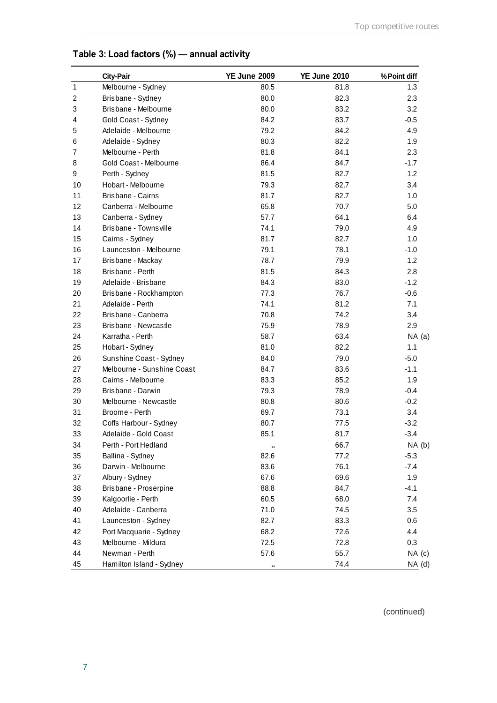|              | <b>City-Pair</b>           | <b>YE June 2009</b> | <b>YE June 2010</b> | % Point diff |
|--------------|----------------------------|---------------------|---------------------|--------------|
| $\mathbf{1}$ | Melbourne - Sydney         | 80.5                | 81.8                | 1.3          |
| 2            | Brisbane - Sydney          | 80.0                | 82.3                | 2.3          |
| 3            | Brisbane - Melbourne       | 80.0                | 83.2                | 3.2          |
| 4            | Gold Coast - Sydney        | 84.2                | 83.7                | $-0.5$       |
| 5            | Adelaide - Melbourne       | 79.2                | 84.2                | 4.9          |
| 6            | Adelaide - Sydney          | 80.3                | 82.2                | 1.9          |
| 7            | Melbourne - Perth          | 81.8                | 84.1                | 2.3          |
| 8            | Gold Coast - Melbourne     | 86.4                | 84.7                | $-1.7$       |
| 9            | Perth - Sydney             | 81.5                | 82.7                | 1.2          |
| 10           | Hobart - Melbourne         | 79.3                | 82.7                | 3.4          |
| 11           | <b>Brisbane - Cairns</b>   | 81.7                | 82.7                | 1.0          |
| 12           | Canberra - Melbourne       | 65.8                | 70.7                | 5.0          |
| 13           | Canberra - Sydney          | 57.7                | 64.1                | 6.4          |
| 14           | Brisbane - Townsville      | 74.1                | 79.0                | 4.9          |
| 15           | Cairns - Sydney            | 81.7                | 82.7                | 1.0          |
| 16           | Launceston - Melbourne     | 79.1                | 78.1                | $-1.0$       |
| 17           | Brisbane - Mackay          | 78.7                | 79.9                | 1.2          |
| 18           | Brisbane - Perth           | 81.5                | 84.3                | 2.8          |
| 19           | Adelaide - Brisbane        | 84.3                | 83.0                | $-1.2$       |
| 20           | Brisbane - Rockhampton     | 77.3                | 76.7                | $-0.6$       |
| 21           | Adelaide - Perth           | 74.1                | 81.2                | 7.1          |
| 22           | Brisbane - Canberra        | 70.8                | 74.2                | 3.4          |
| 23           | Brisbane - Newcastle       | 75.9                | 78.9                | 2.9          |
| 24           | Karratha - Perth           | 58.7                | 63.4                | $NA$ (a)     |
| 25           | Hobart - Sydney            | 81.0                | 82.2                | 1.1          |
| 26           | Sunshine Coast - Sydney    | 84.0                | 79.0                | $-5.0$       |
| 27           | Melbourne - Sunshine Coast | 84.7                | 83.6                | $-1.1$       |
| 28           | Cairns - Melbourne         | 83.3                | 85.2                | 1.9          |
| 29           | Brisbane - Darwin          | 79.3                | 78.9                | $-0.4$       |
| 30           | Melbourne - Newcastle      | 80.8                | 80.6                | $-0.2$       |
| 31           | Broome - Perth             | 69.7                | 73.1                | 3.4          |
| 32           | Coffs Harbour - Sydney     | 80.7                | 77.5                | $-3.2$       |
| 33           | Adelaide - Gold Coast      | 85.1                | 81.7                | $-3.4$       |
| 34           | Perth - Port Hedland       | .,                  | 66.7                | NA(b)        |
| 35           | Ballina - Sydney           | 82.6                | 77.2                | $-5.3$       |
| 36           | Darwin - Melbourne         | 83.6                | 76.1                | $-7.4$       |
| 37           | Albury - Sydney            | 67.6                | 69.6                | 1.9          |
| 38           | Brisbane - Proserpine      | 88.8                | 84.7                | $-4.1$       |
| 39           | Kalgoorlie - Perth         | 60.5                | 68.0                | 7.4          |
| 40           | Adelaide - Canberra        | 71.0                | 74.5                | 3.5          |
| 41           | Launceston - Sydney        | 82.7                | 83.3                | 0.6          |
| 42           | Port Macquarie - Sydney    | 68.2                | 72.6                | 4.4          |
| 43           | Melbourne - Mildura        | 72.5                | 72.8                | 0.3          |
| 44           | Newman - Perth             | 57.6                | 55.7                | $NA$ (c)     |
| 45           | Hamilton Island - Sydney   |                     | 74.4                | NA (d)       |
|              |                            |                     |                     |              |

# **Table 3: Load factors (%) — annual activity**

(continued)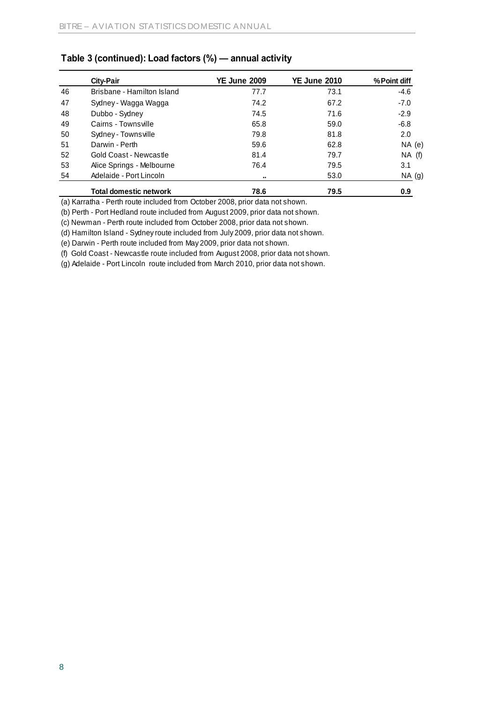|    | <b>City-Pair</b>              | <b>YE June 2009</b> | <b>YE June 2010</b> | % Point diff |
|----|-------------------------------|---------------------|---------------------|--------------|
| 46 | Brisbane - Hamilton Island    | 77.7                | 73.1                | $-4.6$       |
| 47 | Sydney - Wagga Wagga          | 74.2                | 67.2                | $-7.0$       |
| 48 | Dubbo - Sydney                | 74.5                | 71.6                | $-2.9$       |
| 49 | Cairns - Townsville           | 65.8                | 59.0                | $-6.8$       |
| 50 | Sydney - Townsville           | 79.8                | 81.8                | 2.0          |
| 51 | Darwin - Perth                | 59.6                | 62.8                | $NA$ (e)     |
| 52 | Gold Coast - Newcastle        | 81.4                | 79.7                | $NA$ (f)     |
| 53 | Alice Springs - Melbourne     | 76.4                | 79.5                | 3.1          |
| 54 | Adelaide - Port Lincoln       |                     | 53.0                | $NA$ (g)     |
|    | <b>Total domestic network</b> | 78.6                | 79.5                | 0.9          |

#### **Table 3 (continued): Load factors (%) — annual activity**

(a) Karratha - Perth route included from October 2008, prior data not shown.

(b) Perth - Port Hedland route included from August 2009, prior data not shown.

(c) Newman - Perth route included from October 2008, prior data not shown.

(d) Hamilton Island - Sydney route included from July 2009, prior data not shown.

(e) Darwin - Perth route included from May 2009, prior data not shown.

(f) Gold Coast - Newcastle route included from August 2008, prior data not shown.

(g) Adelaide - Port Lincoln route included from March 2010, prior data not shown.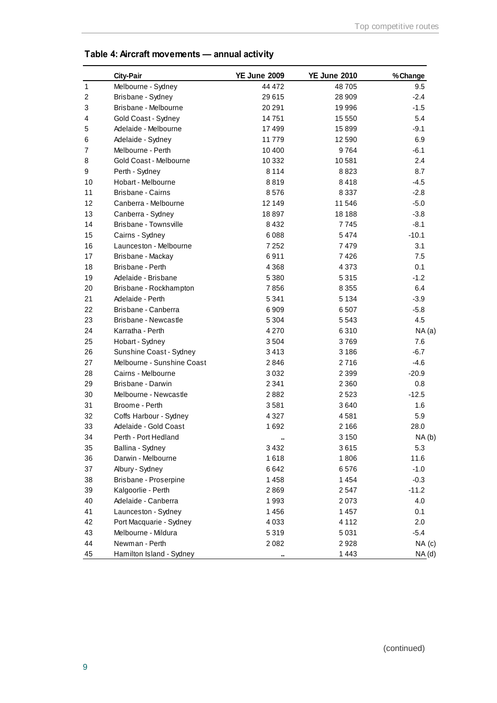|                | <b>City-Pair</b>           | <b>YE June 2009</b> | <b>YE June 2010</b> | % Change   |
|----------------|----------------------------|---------------------|---------------------|------------|
| 1              | Melbourne - Sydney         | 44 472              | 48705               | 9.5        |
| $\overline{c}$ | Brisbane - Sydney          | 29 615              | 28 909              | $-2.4$     |
| 3              | Brisbane - Melbourne       | 20 291              | 19 996              | $-1.5$     |
| $\overline{4}$ | Gold Coast - Sydney        | 14751               | 15 550              | 5.4        |
| 5              | Adelaide - Melbourne       | 17 499              | 15899               | $-9.1$     |
| 6              | Adelaide - Sydney          | 11779               | 12 5 9 0            | 6.9        |
| $\overline{7}$ | Melbourne - Perth          | 10 400              | 9764                | $-6.1$     |
| 8              | Gold Coast - Melbourne     | 10 332              | 10581               | 2.4        |
| 9              | Perth - Sydney             | 8 1 1 4             | 8823                | 8.7        |
| 10             | Hobart - Melbourne         | 8819                | 8418                | $-4.5$     |
| 11             | Brisbane - Cairns          | 8576                | 8 3 3 7             | $-2.8$     |
| 12             | Canberra - Melbourne       | 12 149              | 11 546              | $-5.0$     |
| 13             | Canberra - Sydney          | 18897               | 18 188              | $-3.8$     |
| 14             | Brisbane - Townsville      | 8 4 3 2             | 7745                | $-8.1$     |
| 15             | Cairns - Sydney            | 6088                | 5474                | $-10.1$    |
| 16             | Launceston - Melbourne     | 7 2 5 2             | 7479                | 3.1        |
| 17             | Brisbane - Mackay          | 6911                | 7426                | 7.5        |
| 18             | Brisbane - Perth           | 4 3 6 8             | 4 3 7 3             | 0.1        |
| 19             | Adelaide - Brisbane        | 5 3 8 0             | 5 3 1 5             | $-1.2$     |
| 20             | Brisbane - Rockhampton     | 7856                | 8 3 5 5             | 6.4        |
| 21             | Adelaide - Perth           | 5 3 4 1             | 5 1 3 4             | $-3.9$     |
| 22             | Brisbane - Canberra        | 6909                | 6 5 0 7             | $-5.8$     |
| 23             | Brisbane - Newcastle       | 5 3 0 4             | 5 5 4 3             | 4.5        |
| 24             | Karratha - Perth           | 4 2 7 0             | 6310                | NA(a)      |
| 25             | Hobart - Sydney            | 3504                | 3769                | 7.6        |
| 26             | Sunshine Coast - Sydney    | 3413                | 3 1 8 6             | $-6.7$     |
| 27             | Melbourne - Sunshine Coast | 2846                | 2716                | $-4.6$     |
| 28             | Cairns - Melbourne         | 3 0 3 2             | 2 3 9 9             | $-20.9$    |
| 29             | Brisbane - Darwin          | 2 3 4 1             | 2 3 6 0             | 0.8        |
| 30             | Melbourne - Newcastle      | 2882                | 2 5 2 3             | $-12.5$    |
| 31             | Broome - Perth             | 3581                | 3640                | 1.6        |
| 32             | Coffs Harbour - Sydney     | 4 3 2 7             | 4581                | 5.9        |
| 33             | Adelaide - Gold Coast      | 1692                | 2 1 6 6             | 28.0       |
| 34             | Perth - Port Hedland       |                     | 3 1 5 0             | NA(b)      |
| 35             | Ballina - Sydney           | 3432                | 3615                | 5.3        |
| 36             | Darwin - Melbourne         | 1618                | 1806                | 11.6       |
| 37             | Albury - Sydney            | 6642                | 6576                | $-1.0$     |
| 38             | Brisbane - Proserpine      | 1458                | 1454                | $-0.3$     |
| 39             | Kalgoorlie - Perth         | 2869                | 2 5 4 7             | $-11.2$    |
| 40             | Adelaide - Canberra        | 1993                | 2073                | 4.0        |
| 41             | Launceston - Sydney        | 1456                | 1457                | 0.1        |
| 42             | Port Macquarie - Sydney    | 4 0 3 3             | 4 1 1 2             | 2.0        |
| 43             | Melbourne - Mildura        | 5319                | 5 0 3 1             | $-5.4$     |
| 44             | Newman - Perth             | 2082                | 2928                | $NA$ (c)   |
| 45             | Hamilton Island - Sydney   |                     | 1443                | $NA$ $(d)$ |

# **Table 4: Aircraft movements — annual activity**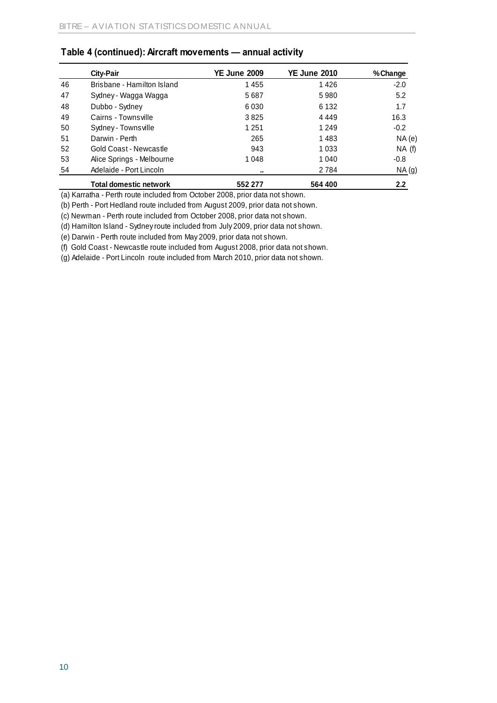|    | <b>City-Pair</b>              | <b>YE June 2009</b> | <b>YE June 2010</b> | %Change |
|----|-------------------------------|---------------------|---------------------|---------|
| 46 | Brisbane - Hamilton Island    | 1455                | 1426                | $-2.0$  |
| 47 | Sydney - Wagga Wagga          | 5687                | 5980                | 5.2     |
| 48 | Dubbo - Sydney                | 6030                | 6 1 3 2             | 1.7     |
| 49 | Cairns - Townsville           | 3825                | 4449                | 16.3    |
| 50 | Sydney - Townsville           | 1 2 5 1             | 1 2 4 9             | $-0.2$  |
| 51 | Darwin - Perth                | 265                 | 1483                | NA(e)   |
| 52 | Gold Coast - Newcastle        | 943                 | 1 0 3 3             | NA(f)   |
| 53 | Alice Springs - Melbourne     | 1048                | 1 0 4 0             | $-0.8$  |
| 54 | Adelaide - Port Lincoln       | $\sim$              | 2784                | NA(g)   |
|    | <b>Total domestic network</b> | 552 277             | 564 400             | 2.2     |

### **Table 4 (continued): Aircraft movements — annual activity**

(a) Karratha - Perth route included from October 2008, prior data not shown.

(b) Perth - Port Hedland route included from August 2009, prior data not shown.

(c) Newman - Perth route included from October 2008, prior data not shown.

(d) Hamilton Island - Sydney route included from July 2009, prior data not shown.

(e) Darwin - Perth route included from May 2009, prior data not shown.

(f) Gold Coast - Newcastle route included from August 2008, prior data not shown.

(g) Adelaide - Port Lincoln route included from March 2010, prior data not shown.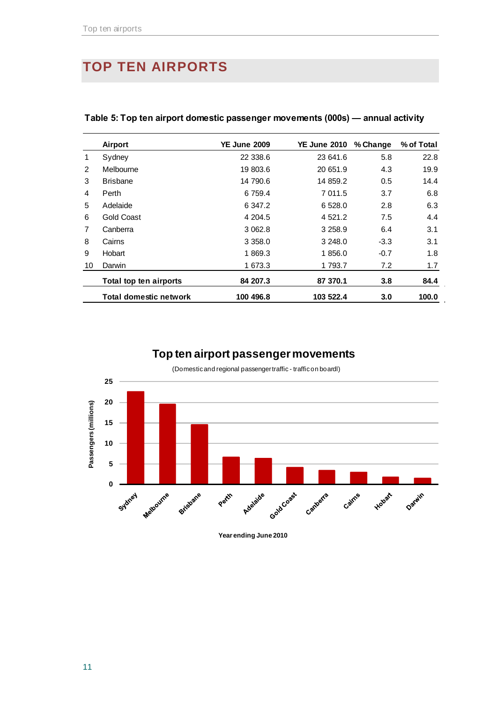# **TOP TEN AIRPORTS**

|                | Airport                | <b>YE June 2009</b> | <b>YE June 2010</b> | % Change | % of Total |
|----------------|------------------------|---------------------|---------------------|----------|------------|
| 1              | Sydney                 | 22 338.6            | 23 641.6            | 5.8      | 22.8       |
| 2              | Melbourne              | 19 803.6            | 20 651.9            | 4.3      | 19.9       |
| 3              | <b>Brisbane</b>        | 14 790.6            | 14 859.2            | 0.5      | 14.4       |
| 4              | Perth                  | 6 759.4             | 7 011.5             | 3.7      | 6.8        |
| 5              | Adelaide               | 6 347.2             | 6 5 28.0            | 2.8      | 6.3        |
| 6              | Gold Coast             | 4 204.5             | 4 5 21 .2           | 7.5      | 4.4        |
| $\overline{7}$ | Canberra               | 3 0 6 2.8           | 3 2 5 8 9           | 6.4      | 3.1        |
| 8              | Cairns                 | 3 3 5 8 . 0         | 3 248.0             | $-3.3$   | 3.1        |
| 9              | Hobart                 | 1869.3              | 1856.0              | $-0.7$   | 1.8        |
| 10             | Darwin                 | 1 673.3             | 1 793.7             | 7.2      | 1.7        |
|                | Total top ten airports | 84 207.3            | 87 370.1            | 3.8      | 84.4       |
|                | Total domestic network | 100 496.8           | 103 522.4           | 3.0      | 100.0      |

**Table 5: Top ten airport domestic passenger movements (000s) — annual activity** 

# **Top ten airport passenger movements**

(Domesticand regional passenger traffic - traffic on boardl)



**Year ending June 2010**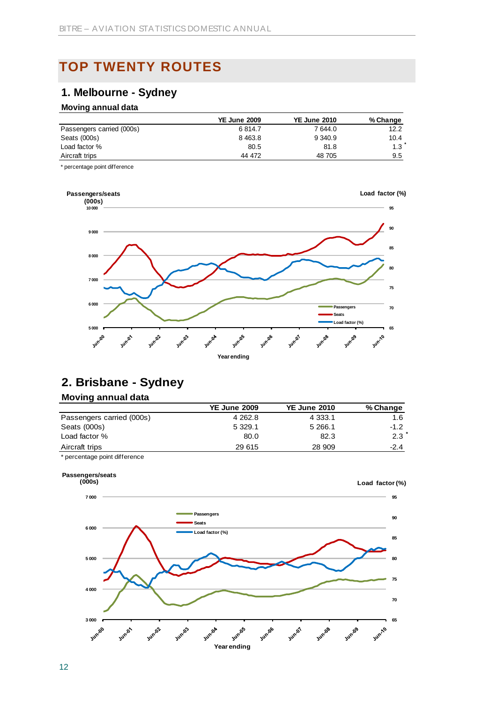# **TOP TWENTY ROUTES**

## **1. Melbourne - Sydney**

#### **Moving annual data**

|                           | <b>YE June 2009</b> | <b>YE June 2010</b> | % Change |
|---------------------------|---------------------|---------------------|----------|
| Passengers carried (000s) | 6814.7              | 7644.0              | 12.2     |
| Seats (000s)              | 8 4 6 3.8           | 9 340.9             | 10.4     |
| Load factor %             | 80.5                | 81.8                | 1.3      |
| Aircraft trips            | 44 472              | 48 705              | 9.5      |

\* percentage point difference



# **2. Brisbane - Sydney**

#### **Moving annual data**

|                           | <b>YE June 2009</b> | <b>YE June 2010</b> | % Change |
|---------------------------|---------------------|---------------------|----------|
| Passengers carried (000s) | 4 2 6 2.8           | 4 3 3 3 . 1         | 1.6      |
| Seats (000s)              | 5 3 2 9 . 1         | 5 2 6 6.1           | $-1.2$   |
| Load factor %             | 80.0                | 82.3                | 2.3      |
| Aircraft trips            | 29 615              | 28 909              | $-2.4$   |

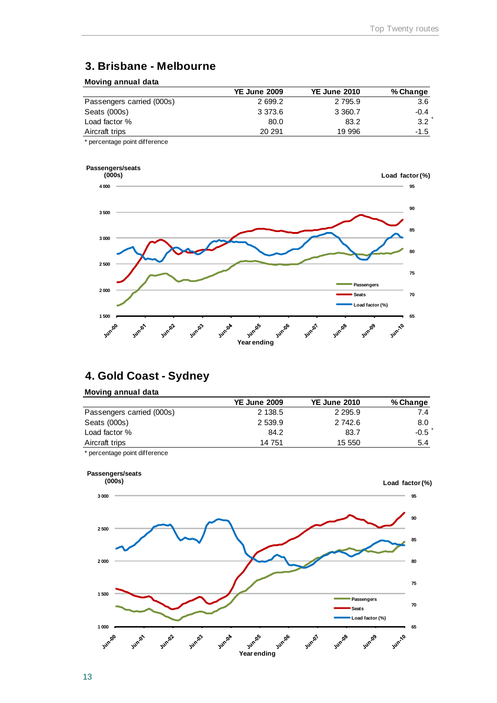## **3. Brisbane - Melbourne**

#### **Moving annual data**

|                           | <b>YE June 2009</b> | <b>YE June 2010</b> | % Change |
|---------------------------|---------------------|---------------------|----------|
| Passengers carried (000s) | 2 699.2             | 2 795.9             | 3.6      |
| Seats (000s)              | 3 3 7 3 . 6         | 3 3 6 0.7           | $-0.4$   |
| Load factor %             | 80.0                | 83.2                | 3.2      |
| Aircraft trips            | 20 291              | 19 996              | $-1.5$   |

\* percentage point difference



# **4. Gold Coast - Sydney**

#### **Moving annual data**

|                           | <b>YE June 2009</b> | <b>YE June 2010</b> | % Change |
|---------------------------|---------------------|---------------------|----------|
| Passengers carried (000s) | 2 138.5             | 2 2 9 5 . 9         | 7.4      |
| Seats (000s)              | 2 539.9             | 2 742.6             | 8.0      |
| Load factor %             | 84.2                | 83.7                | $-0.5$   |
| Aircraft trips            | 14 751              | 15 550              | 5.4      |
|                           |                     |                     |          |

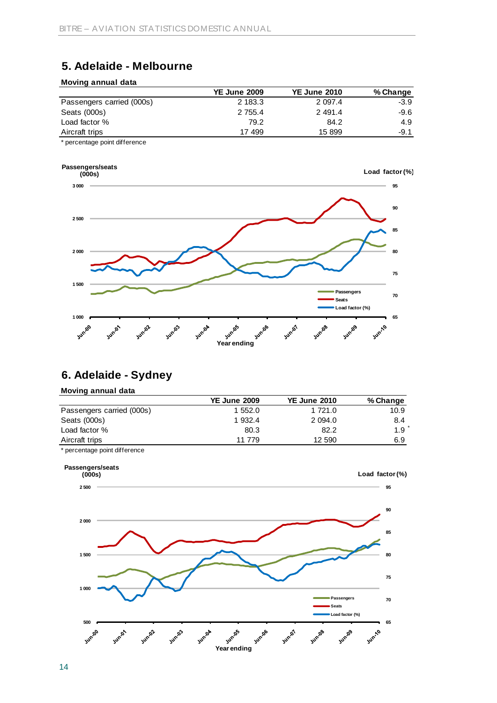# **5. Adelaide - Melbourne**

#### **Moving annual data**

|                           | <b>YE June 2009</b> | <b>YE June 2010</b> | % Change |
|---------------------------|---------------------|---------------------|----------|
| Passengers carried (000s) | 2 183.3             | 2 0 9 7.4           | $-3.9$   |
| Seats (000s)              | 2 755.4             | 2 4 9 1.4           | -9.6     |
| Load factor %             | 79.2                | 84.2                | 4.9      |
| Aircraft trips            | 17499               | 15 899              | -9.1     |

\* percentage point difference



# **6. Adelaide - Sydney**

#### **Moving annual data**

|                           | <b>YE June 2009</b> | <b>YE June 2010</b> | % Change |
|---------------------------|---------------------|---------------------|----------|
| Passengers carried (000s) | 1 552.0             | 1 721.0             | 10.9     |
| Seats (000s)              | 1 932.4             | 2 0 9 4 .0          | 8.4      |
| Load factor %             | 80.3                | 82.2                | 1.9      |
| Aircraft trips            | 11 779              | 12 590              | 6.9      |
|                           |                     |                     |          |

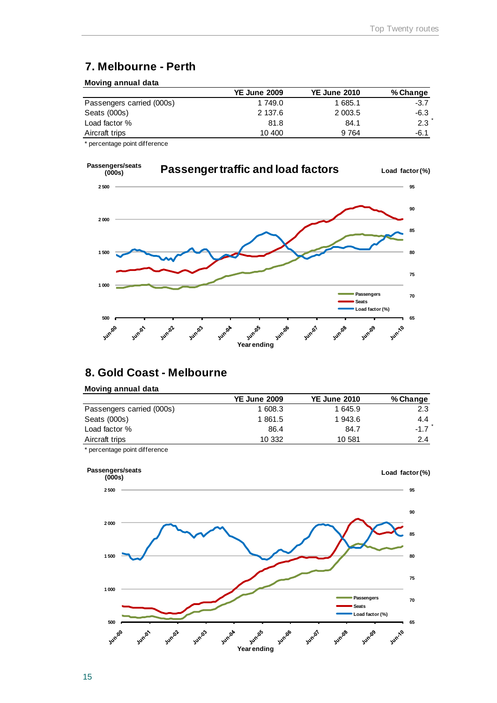### **7. Melbourne - Perth**

#### **Moving annual data**

|                           | <b>YE June 2009</b> | <b>YE June 2010</b> | % Change |
|---------------------------|---------------------|---------------------|----------|
| Passengers carried (000s) | 1 749.0             | 1 685.1             | -3.7     |
| Seats (000s)              | 2 137.6             | 2 0 0 3.5           | -6.3     |
| Load factor %             | 81.8                | 84.1                | 2.3      |
| Aircraft trips            | 10 400              | 9 7 6 4             | -6.1     |

\* percentage point difference



### **8. Gold Coast - Melbourne**

#### **Moving annual data**

|                           | <b>YE June 2009</b> | <b>YE June 2010</b> | % Change |
|---------------------------|---------------------|---------------------|----------|
| Passengers carried (000s) | 1 608.3             | 1 645.9             | 2.3      |
| Seats (000s)              | 1861.5              | 1943.6              | 4.4      |
| Load factor %             | 86.4                | 84.7                | $-1.7$   |
| Aircraft trips            | 10 332              | 10 581              | 2.4      |
|                           |                     |                     |          |

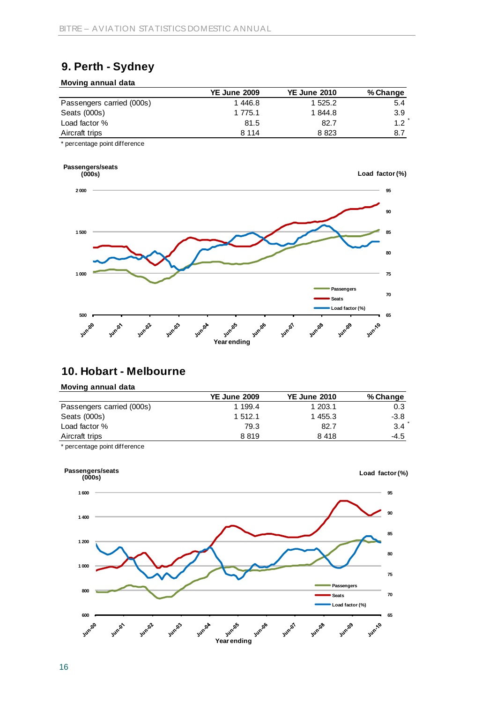# **9. Perth - Sydney**

#### **Moving annual data**

|                           | <b>YE June 2009</b> | <b>YE June 2010</b> | % Change |
|---------------------------|---------------------|---------------------|----------|
| Passengers carried (000s) | 1446.8              | 1 525.2             | 5.4      |
| Seats (000s)              | 1 775.1             | 1 844.8             | 3.9      |
| Load factor %             | 81.5                | 82.7                | 12       |
| Aircraft trips            | 8 1 1 4             | 8 823               | 8.7      |

\* percentage point difference



### **10. Hobart - Melbourne**

#### **Moving annual data**

|                                                                                                                 | <b>YE June 2009</b> | <b>YE June 2010</b> | % Change |
|-----------------------------------------------------------------------------------------------------------------|---------------------|---------------------|----------|
| Passengers carried (000s)                                                                                       | 1 199.4             | 1 203.1             | 0.3      |
| Seats (000s)                                                                                                    | 1 512.1             | 1455.3              | $-3.8$   |
| Load factor %                                                                                                   | 79.3                | 82.7                | 3.4      |
| Aircraft trips                                                                                                  | 8819                | 8418                | -4.5     |
| the contract of the contract of the contract of the contract of the contract of the contract of the contract of |                     |                     |          |

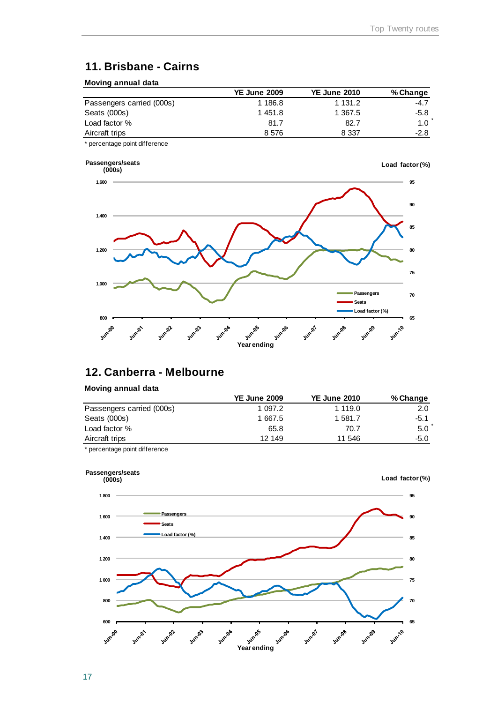## **11. Brisbane - Cairns**

#### **Moving annual data**

|                           | <b>YE June 2009</b> | <b>YE June 2010</b> | % Change |
|---------------------------|---------------------|---------------------|----------|
| Passengers carried (000s) | 1 186.8             | 1 131.2             | $-4.7$   |
| Seats (000s)              | 1451.8              | 1 367.5             | $-5.8$   |
| Load factor %             | 81.7                | 82.7                | 1.0      |
| Aircraft trips            | 8576                | 8 337               | $-2.8$   |

\* percentage point difference



### **12. Canberra - Melbourne**

#### **Moving annual data**

|                           | <b>YE June 2009</b> | <b>YE June 2010</b> | % Change |
|---------------------------|---------------------|---------------------|----------|
| Passengers carried (000s) | 1 097.2             | 1 119.0             | 2.0      |
| Seats (000s)              | 1 667.5             | 1 581.7             | $-5.1$   |
| Load factor %             | 65.8                | 70.7                | 5.0      |
| Aircraft trips            | 12 149              | 11 546              | -5.0     |
|                           |                     |                     |          |

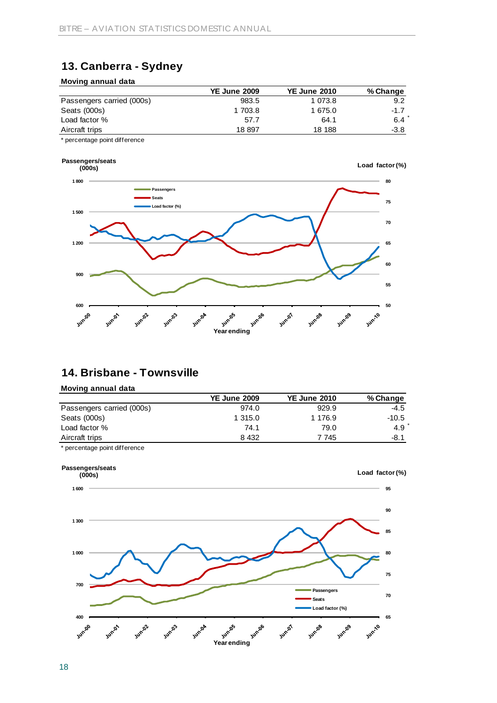### **13. Canberra - Sydney**

#### **Moving annual data**

|                           | <b>YE June 2009</b> | <b>YE June 2010</b> | % Change |
|---------------------------|---------------------|---------------------|----------|
| Passengers carried (000s) | 983.5               | 1 073.8             | 9.2      |
| Seats (000s)              | 1 703.8             | 1 675.0             | $-1.7$   |
| Load factor %             | 57.7                | 64.1                | 6.4      |
| Aircraft trips            | 18 897              | 18 188              | $-3.8$   |

\* percentage point difference



# **14. Brisbane - Townsville**

### **Moving annual data**

|                                                                                                                 | <b>YE June 2009</b> | <b>YE June 2010</b> | % Change |
|-----------------------------------------------------------------------------------------------------------------|---------------------|---------------------|----------|
| Passengers carried (000s)                                                                                       | 974.0               | 929.9               | $-4.5$   |
| Seats (000s)                                                                                                    | 1 315.0             | 1 176.9             | -10.5    |
| Load factor %                                                                                                   | 74.1                | 79.0                | 4.9      |
| Aircraft trips                                                                                                  | 8432                | 7 745               | -8.1     |
| the contract of the contract of the contract of the contract of the contract of the contract of the contract of |                     |                     |          |

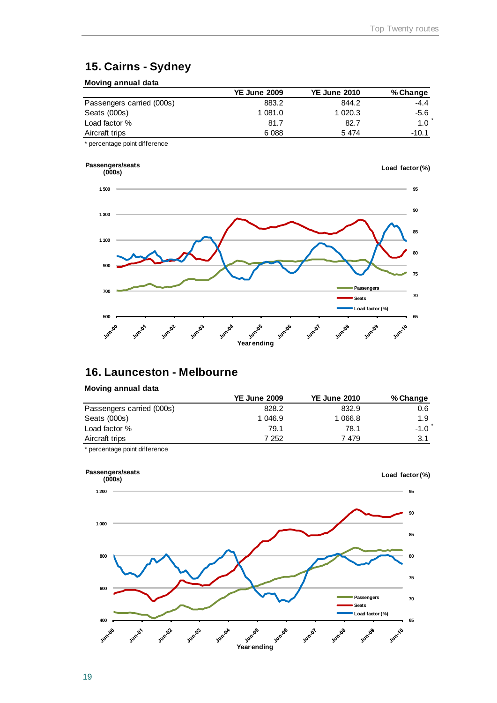# **15. Cairns - Sydney**

#### **Moving annual data**

|                           | <b>YE June 2009</b> | <b>YE June 2010</b> | % Change |
|---------------------------|---------------------|---------------------|----------|
| Passengers carried (000s) | 883.2               | 844.2               | $-4.4$   |
| Seats (000s)              | 1 081.0             | 1 020.3             | -5.6     |
| Load factor %             | 81.7                | 82.7                | 1.0      |
| Aircraft trips            | 6088                | 5474                | $-10.1$  |

\* percentage point difference



### **16. Launceston - Melbourne**

#### **Moving annual data**

|                           | <b>YE June 2009</b> | <b>YE June 2010</b> | % Change |
|---------------------------|---------------------|---------------------|----------|
| Passengers carried (000s) | 828.2               | 832.9               | 0.6      |
| Seats (000s)              | 1 046.9             | 1 066.8             | 1.9      |
| Load factor %             | 79.1                | 78.1                | $-1.0$   |
| Aircraft trips            | 7 252               | 7 479               | 3.1      |

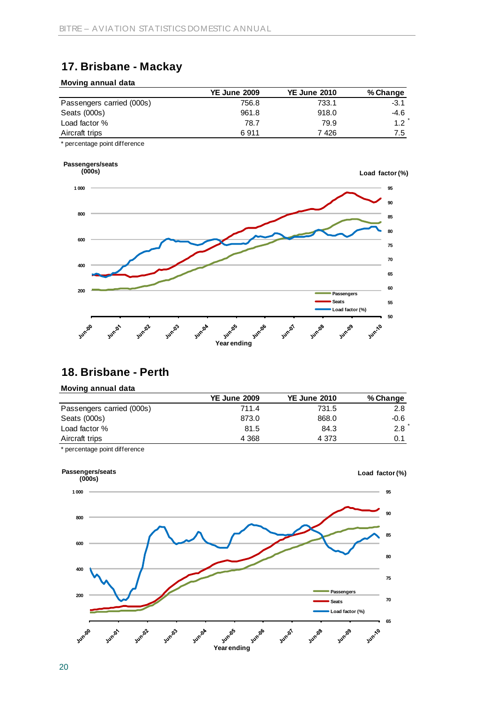# **17. Brisbane - Mackay**

#### **Moving annual data**

|                           | <b>YE June 2009</b> | <b>YE June 2010</b> | % Change |
|---------------------------|---------------------|---------------------|----------|
| Passengers carried (000s) | 756.8               | 733.1               | $-3.1$   |
| Seats (000s)              | 961.8               | 918.0               | -4.6     |
| Load factor %             | 78.7                | 79.9                | 1.2      |
| Aircraft trips            | 6911                | 7 426               | 7.5      |

\* percentage point difference



# **18. Brisbane - Perth**

#### **Moving annual data**

|                           | <b>YE June 2009</b> | <b>YE June 2010</b> | % Change |
|---------------------------|---------------------|---------------------|----------|
| Passengers carried (000s) | 711.4               | 731.5               | 2.8      |
| Seats (000s)              | 873.0               | 868.0               | -0.6     |
| Load factor %             | 81.5                | 84.3                | 2.8      |
| Aircraft trips            | 4 3 6 8             | 4 3 7 3             | 0.1      |
|                           |                     |                     |          |

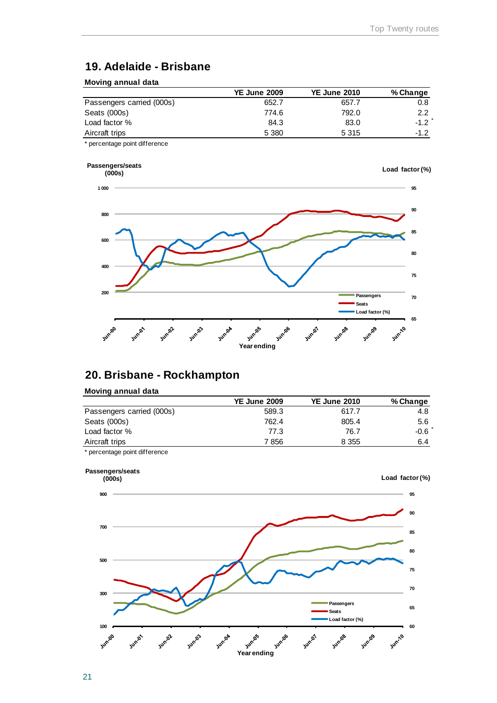### **19. Adelaide - Brisbane**

#### **Moving annual data**

|                           | <b>YE June 2009</b> | <b>YE June 2010</b> | % Change |
|---------------------------|---------------------|---------------------|----------|
| Passengers carried (000s) | 652.7               | 657.7               | 0.8      |
| Seats (000s)              | 774.6               | 792.0               | 2.2      |
| Load factor %             | 84.3                | 83.0                | $-1.2$   |
| Aircraft trips            | 5 3 8 0             | 5 3 1 5             | $-1.2$   |

\* percentage point difference



# **20. Brisbane - Rockhampton**

#### **Moving annual data**

|                           | <b>YE June 2009</b> | <b>YE June 2010</b> | % Change |
|---------------------------|---------------------|---------------------|----------|
| Passengers carried (000s) | 589.3               | 617.7               | 4.8      |
| Seats (000s)              | 762.4               | 805.4               | 5.6      |
| Load factor %             | 77.3                | 76.7                | $-0.6$   |
| Aircraft trips            | 7856                | 8 3 5 5             | 6.4      |
|                           |                     |                     |          |

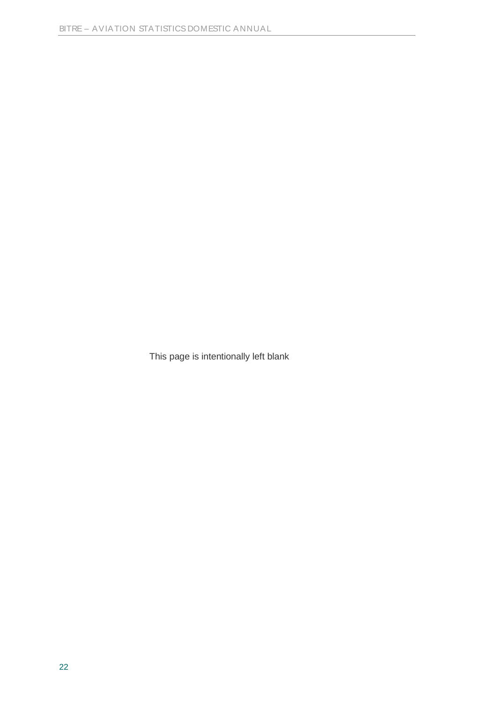This page is intentionally left blank